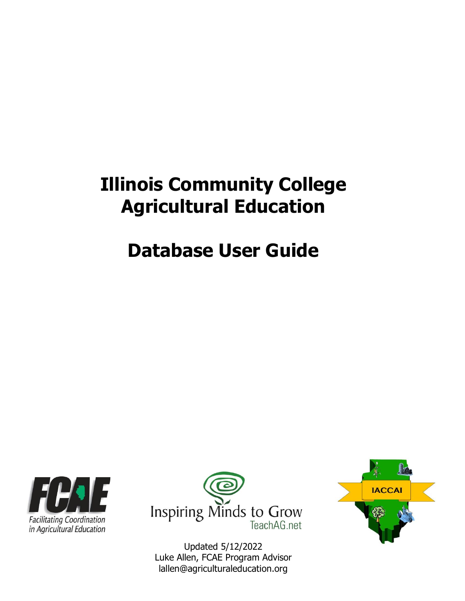# **Illinois Community College Agricultural Education**

# **Database User Guide**





Updated 5/12/2022 Luke Allen, FCAE Program Advisor lallen@agriculturaleducation.org

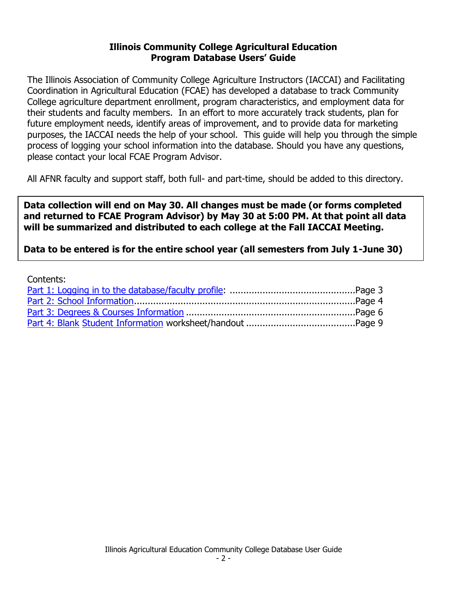#### **Illinois Community College Agricultural Education Program Database Users' Guide**

The Illinois Association of Community College Agriculture Instructors (IACCAI) and Facilitating Coordination in Agricultural Education (FCAE) has developed a database to track Community College agriculture department enrollment, program characteristics, and employment data for their students and faculty members. In an effort to more accurately track students, plan for future employment needs, identify areas of improvement, and to provide data for marketing purposes, the IACCAI needs the help of your school. This guide will help you through the simple process of logging your school information into the database. Should you have any questions, please contact your local FCAE Program Advisor.

All AFNR faculty and support staff, both full- and part-time, should be added to this directory.

**Data collection will end on May 30. All changes must be made (or forms completed and returned to FCAE Program Advisor) by May 30 at 5:00 PM. At that point all data will be summarized and distributed to each college at the Fall IACCAI Meeting.** 

**Data to be entered is for the entire school year (all semesters from July 1-June 30)**

| Contents: |  |
|-----------|--|
|           |  |
|           |  |
|           |  |
|           |  |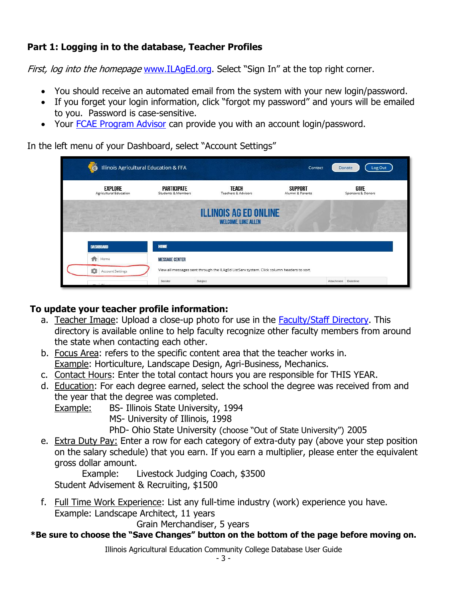# <span id="page-2-0"></span>**Part 1: Logging in to the database, Teacher Profiles**

First, log into the homepage [www.ILAgEd.org.](http://www.ilaged.org/) Select "Sign In" at the top right corner.

- You should receive an automated email from the system with your new login/password.
- If you forget your login information, click "forgot my password" and yours will be emailed to you. Password is case-sensitive.
- Your [FCAE Program Advisor](https://www.ilaged.org/Contact) can provide you with an account login/password.

In the left menu of your Dashboard, select "Account Settings"

| 藝<br>Illinois Agricultural Education & FFA |                                          |                                                                                          | Contact                            |                     | Log Out<br>Donate         |
|--------------------------------------------|------------------------------------------|------------------------------------------------------------------------------------------|------------------------------------|---------------------|---------------------------|
| EXPLORE<br>Agricultural Education          | <b>PARTICIPATE</b><br>Students & Members | TEACH<br>Teachers & Advisors                                                             | <b>SUPPORT</b><br>Alumni & Parents |                     | GIVE<br>Sponsors & Donors |
|                                            |                                          | <b>ILLINOIS AG ED ONLINE</b><br><b>WELCOME, LUKE ALLEN</b>                               |                                    |                     |                           |
| DASHBOARD                                  | HOME                                     |                                                                                          |                                    |                     |                           |
| ₳<br>Home                                  | <b>MESSAGE CENTER</b>                    |                                                                                          |                                    |                     |                           |
| ×<br><b>Account Settings</b>               |                                          | View all messages sent through the ILAgEd ListServ system. Click column headers to sort. |                                    |                     |                           |
| <b>Internet</b>                            | Sender                                   | Subject                                                                                  |                                    | Attachment Datetime |                           |

# **To update your teacher profile information:**

- a. Teacher Image: Upload a close-up photo for use in the [Faculty/Staff](https://www.ilaged.org/directory/schools.aspx) Directory. This directory is available online to help faculty recognize other faculty members from around the state when contacting each other.
- b. Focus Area: refers to the specific content area that the teacher works in. Example: Horticulture, Landscape Design, Agri-Business, Mechanics.
- c. Contact Hours: Enter the total contact hours you are responsible for THIS YEAR.
- d. Education: For each degree earned, select the school the degree was received from and the year that the degree was completed.
	- Example: BS- Illinois State University, 1994
		- MS- University of Illinois, 1998
		- PhD- Ohio State University (choose "Out of State University") 2005
- e. Extra Duty Pay: Enter a row for each category of extra-duty pay (above your step position on the salary schedule) that you earn. If you earn a multiplier, please enter the equivalent gross dollar amount.

Example: Livestock Judging Coach, \$3500 Student Advisement & Recruiting, \$1500

f. Full Time Work Experience: List any full-time industry (work) experience you have. Example: Landscape Architect, 11 years

Grain Merchandiser, 5 years

# **\*Be sure to choose the "Save Changes" button on the bottom of the page before moving on.**

Illinois Agricultural Education Community College Database User Guide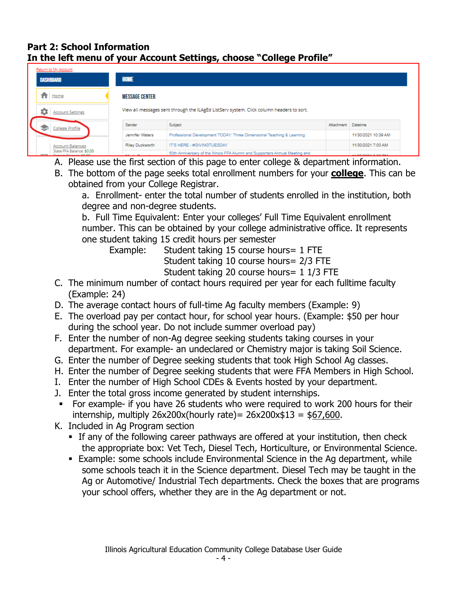## <span id="page-3-0"></span>**Part 2: School Information In the left menu of your Account Settings, choose "College Profile"**

| Return to My Account                                 |                                                                                          |                                                                               |            |                            |  |
|------------------------------------------------------|------------------------------------------------------------------------------------------|-------------------------------------------------------------------------------|------------|----------------------------|--|
| <b>DASHBOARD</b>                                     | HOME                                                                                     |                                                                               |            |                            |  |
| $f$ Home<br><b>MESSAGE CENTER</b>                    |                                                                                          |                                                                               |            |                            |  |
| <b>Account Settings</b>                              | View all messages sent through the ILAgEd ListServ system. Click column headers to sort. |                                                                               |            |                            |  |
| <b>College Profile</b>                               | Sender                                                                                   | Subject                                                                       | Attachment | Datetime                   |  |
|                                                      | Jennifer Waters                                                                          | Professional Development TODAY: Three Dimensional Teaching & Learning         |            | 11/30/2021 10:39 AM        |  |
| <b>Account Balances</b>                              | Riley Duckworth                                                                          | IT'S HERE - #GIVINGTUESDAY                                                    |            | 11/30/2021 7:00 AM         |  |
| State FFA Balance: \$0.00<br>District Balances AB BB | $\cdots$                                                                                 | 50th Anniversary of the Illinois FFA Alumni and Supporters Annual Meeting and |            | <b><i>AAMAMAAAAAAA</i></b> |  |

- A. Please use the first section of this page to enter college & department information.
- B. The bottom of the page seeks total enrollment numbers for your **college**. This can be obtained from your College Registrar.
	- a. Enrollment- enter the total number of students enrolled in the institution, both degree and non-degree students.

b. Full Time Equivalent: Enter your colleges' Full Time Equivalent enrollment number. This can be obtained by your college administrative office. It represents one student taking 15 credit hours per semester

Example: Student taking 15 course hours = 1 FTE

Student taking 10 course hours= 2/3 FTE

Student taking 20 course hours= 1 1/3 FTE

- C. The minimum number of contact hours required per year for each fulltime faculty (Example: 24)
- D. The average contact hours of full-time Ag faculty members (Example: 9)
- E. The overload pay per contact hour, for school year hours. (Example: \$50 per hour during the school year. Do not include summer overload pay)
- F. Enter the number of non-Ag degree seeking students taking courses in your department. For example- an undeclared or Chemistry major is taking Soil Science.
- G. Enter the number of Degree seeking students that took High School Ag classes.
- H. Enter the number of Degree seeking students that were FFA Members in High School.
- I. Enter the number of High School CDEs & Events hosted by your department.
- J. Enter the total gross income generated by student internships.
- For example- if you have 26 students who were required to work 200 hours for their internship, multiply  $26x200x(hourly rate) = 26x200x$13 = $67,600$ .
- K. Included in Ag Program section
	- **EXTE:** If any of the following career pathways are offered at your institution, then check the appropriate box: Vet Tech, Diesel Tech, Horticulture, or Environmental Science.
	- **Example: some schools include Environmental Science in the Ag department, while** some schools teach it in the Science department. Diesel Tech may be taught in the Ag or Automotive/ Industrial Tech departments. Check the boxes that are programs your school offers, whether they are in the Ag department or not.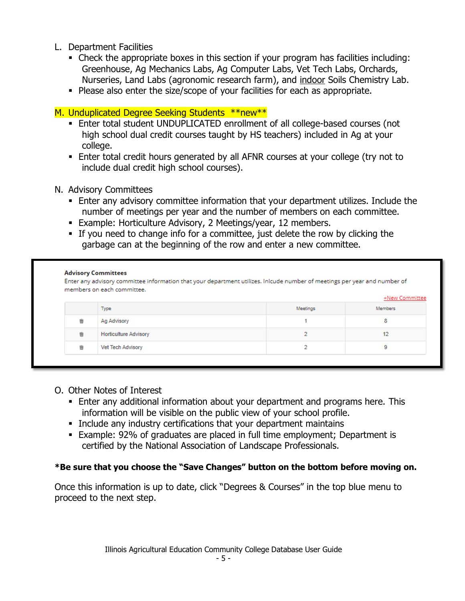- L. Department Facilities
	- Check the appropriate boxes in this section if your program has facilities including: Greenhouse, Ag Mechanics Labs, Ag Computer Labs, Vet Tech Labs, Orchards, Nurseries, Land Labs (agronomic research farm), and indoor Soils Chemistry Lab.
	- **Please also enter the size/scope of your facilities for each as appropriate.**

## M. Unduplicated Degree Seeking Students \*\*new\*\*

- **Enter total student UNDUPLICATED enrollment of all college-based courses (not** high school dual credit courses taught by HS teachers) included in Ag at your college.
- **Enter total credit hours generated by all AFNR courses at your college (try not to** include dual credit high school courses).
- N. Advisory Committees
	- **Enter any advisory committee information that your department utilizes. Include the** number of meetings per year and the number of members on each committee.
	- **Example: Horticulture Advisory, 2 Meetings/year, 12 members.**
	- If you need to change info for a committee, just delete the row by clicking the garbage can at the beginning of the row and enter a new committee.

|   | <b>Advisory Committees</b><br>Enter any advisory committee information that your department utilizes. Inlcude number of meetings per year and number of<br>members on each committee.<br>+New Committee |          |                |  |  |
|---|---------------------------------------------------------------------------------------------------------------------------------------------------------------------------------------------------------|----------|----------------|--|--|
|   | <b>Type</b>                                                                                                                                                                                             | Meetings | <b>Members</b> |  |  |
| 啻 | Ag Advisory                                                                                                                                                                                             |          | 8              |  |  |
| 啻 | <b>Horticulture Advisory</b>                                                                                                                                                                            |          | 12             |  |  |
| 啻 | Vet Tech Advisory                                                                                                                                                                                       | a        | 9              |  |  |

- O. Other Notes of Interest
	- **Enter any additional information about your department and programs here. This** information will be visible on the public view of your school profile.
	- **EXEDENT** Include any industry certifications that your department maintains
	- Example: 92% of graduates are placed in full time employment; Department is certified by the National Association of Landscape Professionals.

### **\*Be sure that you choose the "Save Changes" button on the bottom before moving on.**

Once this information is up to date, click "Degrees & Courses" in the top blue menu to proceed to the next step.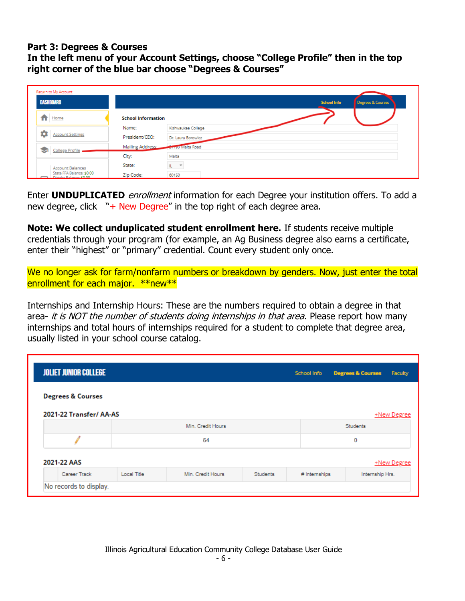#### <span id="page-5-0"></span>**Part 3: Degrees & Courses**

**In the left menu of your Account Settings, choose "College Profile" then in the top right corner of the blue bar choose "Degrees & Courses"**

| Return to My Account                                  |                           |                                         |
|-------------------------------------------------------|---------------------------|-----------------------------------------|
| <b>DASHBOARD</b>                                      |                           | <b>School Info</b><br>Degrees & Courses |
| Home<br>п                                             | <b>School Information</b> |                                         |
|                                                       | Name:                     | Kishwaukee College                      |
| <b>Account Settings</b>                               | President/CEO:            | Dr. Laura Borowicz                      |
| <b>College Profile</b><br>◛                           | Mailing Address:          | <b>Criss Malta Road</b>                 |
|                                                       | City:                     | Malta                                   |
| <b>Account Balances</b>                               | State:                    | IL T                                    |
| State FFA Balance: \$0.00<br>Director Palance: 60.00. | Zip Code:                 | 60150                                   |

Enter **UNDUPLICATED** enrollment information for each Degree your institution offers. To add a new degree, click  $"$  + New Degree" in the top right of each degree area.

**Note: We collect unduplicated student enrollment here.** If students receive multiple credentials through your program (for example, an Ag Business degree also earns a certificate, enter their "highest" or "primary" credential. Count every student only once.

We no longer ask for farm/nonfarm numbers or breakdown by genders. Now, just enter the total enrollment for each major. \*\*new\*\*

Internships and Internship Hours: These are the numbers required to obtain a degree in that area- it is NOT the number of students doing internships in that area. Please report how many internships and total hours of internships required for a student to complete that degree area, usually listed in your school course catalog.

| <b>JOLIET JUNIOR COLLEGE</b> |             |                   |          | School Info   | <b>Degrees &amp; Courses</b> | Faculty     |
|------------------------------|-------------|-------------------|----------|---------------|------------------------------|-------------|
| <b>Degrees &amp; Courses</b> |             |                   |          |               |                              |             |
| 2021-22 Transfer/ AA-AS      |             |                   |          |               |                              | +New Degree |
|                              |             | Min. Credit Hours |          |               | <b>Students</b>              |             |
|                              | 64<br>0     |                   |          |               |                              |             |
| 2021-22 AAS<br>+New Degree   |             |                   |          |               |                              |             |
| Career Track                 | Local Title | Min. Credit Hours | Students | # Internships | Internship Hrs.              |             |
| No records to display.       |             |                   |          |               |                              |             |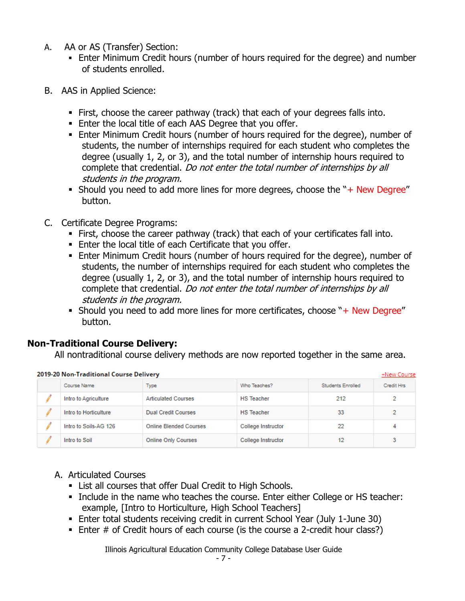- A. AA or AS (Transfer) Section:
	- **Enter Minimum Credit hours (number of hours required for the degree) and number** of students enrolled.
- B. AAS in Applied Science:
	- **Eirst, choose the career pathway (track) that each of your degrees falls into.**
	- Enter the local title of each AAS Degree that you offer.
	- **Enter Minimum Credit hours (number of hours required for the degree), number of** students, the number of internships required for each student who completes the degree (usually 1, 2, or 3), and the total number of internship hours required to complete that credential. Do not enter the total number of internships by all students in the program.
	- **EXECT** Should you need to add more lines for more degrees, choose the " $+$  New Degree" button.
- C. Certificate Degree Programs:
	- **Example 1** First, choose the career pathway (track) that each of your certificates fall into.
	- **Enter the local title of each Certificate that you offer.**
	- **Enter Minimum Credit hours (number of hours required for the degree), number of** students, the number of internships required for each student who completes the degree (usually 1, 2, or 3), and the total number of internship hours required to complete that credential. Do not enter the total number of internships by all students in the program.
	- **EXECT** Should you need to add more lines for more certificates, choose " $+$  New Degree" button.

# **Non-Traditional Course Delivery:**

All nontraditional course delivery methods are now reported together in the same area.

| 2019-20 Non-Traditional Course Delivery<br>+New Course |                       |                               |                    |                          |            |
|--------------------------------------------------------|-----------------------|-------------------------------|--------------------|--------------------------|------------|
|                                                        | Course Name           | Type                          | Who Teaches?       | <b>Students Enrolled</b> | Credit Hrs |
|                                                        | Intro to Agriculture  | <b>Articulated Courses</b>    | <b>HS</b> Teacher  | 212                      | 2          |
|                                                        | Intro to Horticulture | <b>Dual Credit Courses</b>    | <b>HS</b> Teacher  | 33                       | 2          |
|                                                        | Intro to Soils-AG 126 | <b>Online Blended Courses</b> | College Instructor | 22                       | 4          |
|                                                        | Intro to Soil         | <b>Online Only Courses</b>    | College Instructor | 12                       | 3          |

### A. Articulated Courses

- **EXECT:** List all courses that offer Dual Credit to High Schools.
- **.** Include in the name who teaches the course. Enter either College or HS teacher: example, [Intro to Horticulture, High School Teachers]
- Enter total students receiving credit in current School Year (July 1-June 30)
- **Enter # of Credit hours of each course (is the course a 2-credit hour class?)**

Illinois Agricultural Education Community College Database User Guide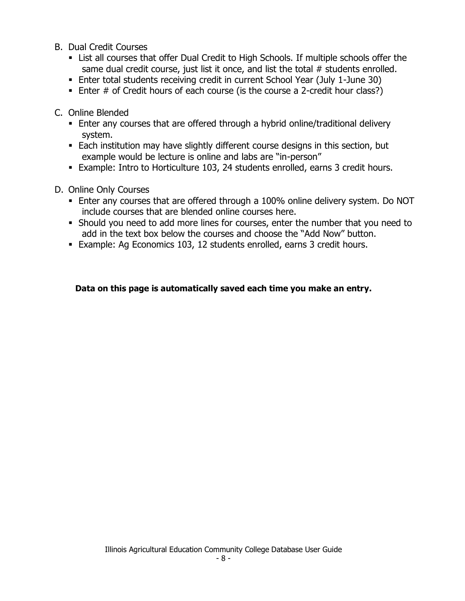- B. Dual Credit Courses
	- **EXTE:** List all courses that offer Dual Credit to High Schools. If multiple schools offer the same dual credit course, just list it once, and list the total # students enrolled.
	- **Enter total students receiving credit in current School Year (July 1-June 30)**
	- Enter # of Credit hours of each course (is the course a 2-credit hour class?)
- C. Online Blended
	- Enter any courses that are offered through a hybrid online/traditional delivery system.
	- Each institution may have slightly different course designs in this section, but example would be lecture is online and labs are "in-person"
	- Example: Intro to Horticulture 103, 24 students enrolled, earns 3 credit hours.
- D. Online Only Courses
	- **Enter any courses that are offered through a 100% online delivery system. Do NOT** include courses that are blended online courses here.
	- Should you need to add more lines for courses, enter the number that you need to add in the text box below the courses and choose the "Add Now" button.
	- Example: Ag Economics 103, 12 students enrolled, earns 3 credit hours.

#### **Data on this page is automatically saved each time you make an entry.**